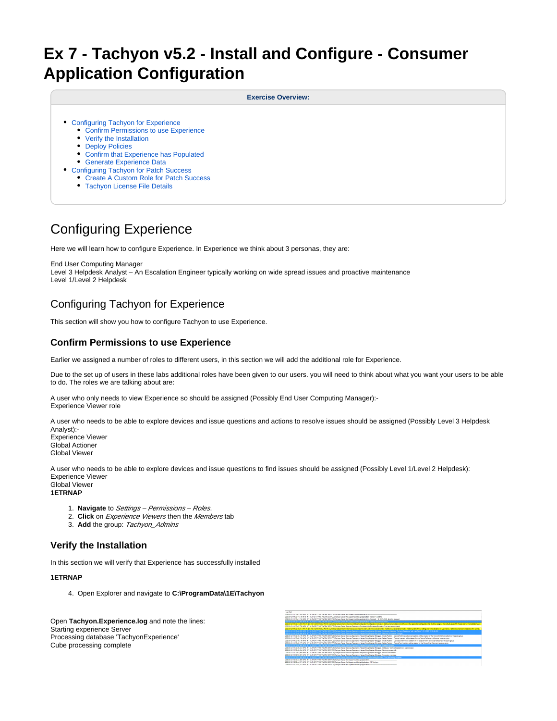# **Ex 7 - Tachyon v5.2 - Install and Configure - Consumer Application Configuration**

**Exercise Overview:**

- [Configuring Tachyon for Experience](#page-0-0)
	- [Confirm Permissions to use Experience](#page-0-1)
	- [Verify the Installation](#page-0-2)
	- [Deploy Policies](#page-1-0)
	- [Confirm that Experience has Populated](#page-1-1)
	- [Generate Experience Data](#page-1-2)
- [Configuring Tachyon for Patch Success](#page-2-0)
	- [Create A Custom Role for Patch Success](#page-2-1)
	- [Tachyon License File Details](#page-2-2)

# Configuring Experience

Here we will learn how to configure Experience. In Experience we think about 3 personas, they are:

End User Computing Manager Level 3 Helpdesk Analyst – An Escalation Engineer typically working on wide spread issues and proactive maintenance Level 1/Level 2 Helpdesk

## <span id="page-0-0"></span>Configuring Tachyon for Experience

This section will show you how to configure Tachyon to use Experience.

## <span id="page-0-1"></span>**Confirm Permissions to use Experience**

Earlier we assigned a number of roles to different users, in this section we will add the additional role for Experience.

Due to the set up of users in these labs additional roles have been given to our users. you will need to think about what you want your users to be able to do. The roles we are talking about are:

A user who only needs to view Experience so should be assigned (Possibly End User Computing Manager):- Experience Viewer role

A user who needs to be able to explore devices and issue questions and actions to resolve issues should be assigned (Possibly Level 3 Helpdesk Analyst):-

Experience Viewer Global Actioner Global Viewer

A user who needs to be able to explore devices and issue questions to find issues should be assigned (Possibly Level 1/Level 2 Helpdesk): Experience Viewer Global Viewer

#### **1ETRNAP**

- 1. **Navigate** to Settings Permissions Roles.
- 2. **Click** on Experience Viewers then the Members tab
- 3. **Add** the group: Tachyon\_Admins

## <span id="page-0-2"></span>**Verify the Installation**

In this section we will verify that Experience has successfully installed

#### **1ETRNAP**

4. Open Explorer and navigate to **C:\ProgramData\1E\Tachyon**

Open **Tachyon.Experience.log** and note the lines: Starting experience Server Processing database 'TachyonExperience' Cube processing complete

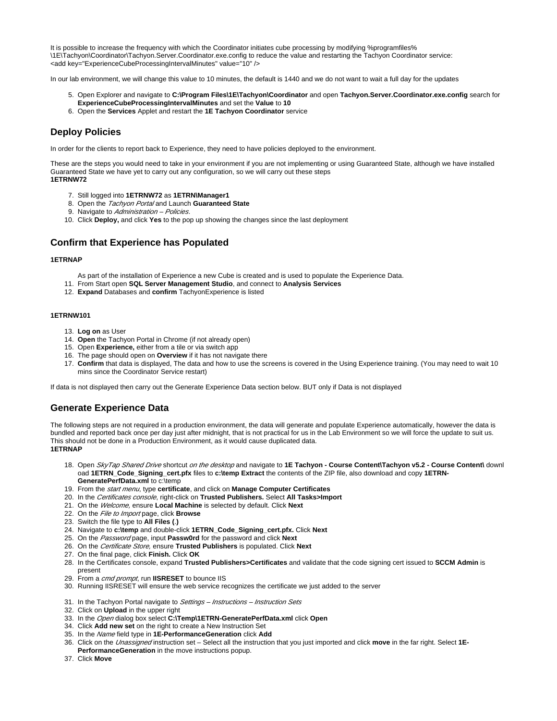It is possible to increase the frequency with which the Coordinator initiates cube processing by modifying %programfiles% \1E\Tachyon\Coordinator\Tachyon.Server.Coordinator.exe.config to reduce the value and restarting the Tachyon Coordinator service: <add key="ExperienceCubeProcessingIntervalMinutes" value="10" />

In our lab environment, we will change this value to 10 minutes, the default is 1440 and we do not want to wait a full day for the updates

- 5. Open Explorer and navigate to **C:\Program Files\1E\Tachyon\Coordinator** and open **Tachyon.Server.Coordinator.exe.config** search for **ExperienceCubeProcessingIntervalMinutes** and set the **Value** to **10**
- 6. Open the **Services** Applet and restart the **1E Tachyon Coordinator** service

## <span id="page-1-0"></span>**Deploy Policies**

In order for the clients to report back to Experience, they need to have policies deployed to the environment.

These are the steps you would need to take in your environment if you are not implementing or using Guaranteed State, although we have installed Guaranteed State we have yet to carry out any configuration, so we will carry out these steps **1ETRNW72**

- 7. Still logged into **1ETRNW72** as **1ETRN\Manager1**
- 8. Open the Tachyon Portal and Launch **Guaranteed State**
- 9. Navigate to Administration Policies.
- 10. Click **Deploy,** and click **Yes** to the pop up showing the changes since the last deployment

## <span id="page-1-1"></span>**Confirm that Experience has Populated**

#### **1ETRNAP**

- As part of the installation of Experience a new Cube is created and is used to populate the Experience Data.
- 11. From Start open **SQL Server Management Studio**, and connect to **Analysis Services**
- 12. **Expand** Databases and **confirm** TachyonExperience is listed

#### **1ETRNW101**

- 13. **Log on** as User
- 14. **Open** the Tachyon Portal in Chrome (if not already open)
- 15. Open **Experience,** either from a tile or via switch app
- 16. The page should open on **Overview** if it has not navigate there
- 17. **Confirm** that data is displayed, The data and how to use the screens is covered in the Using Experience training. (You may need to wait 10 mins since the Coordinator Service restart)

If data is not displayed then carry out the Generate Experience Data section below. BUT only if Data is not displayed

## <span id="page-1-2"></span>**Generate Experience Data**

The following steps are not required in a production environment, the data will generate and populate Experience automatically, however the data is bundled and reported back once per day just after midnight, that is not practical for us in the Lab Environment so we will force the update to suit us. This should not be done in a Production Environment, as it would cause duplicated data. **1ETRNAP**

- 18. Open SkyTap Shared Drive shortcut on the desktop and navigate to **1E Tachyon Course Content\Tachyon v5.2 Course Content\** downl oad 1ETRN Code Signing cert.pfx files to c:\temp Extract the contents of the ZIP file, also download and copy 1ETRN-**GeneratePerfData.xml** to c:\temp
- 19. From the start menu, type **certificate**, and click on **Manage Computer Certificates**
- 20. In the Certificates console, right-click on **Trusted Publishers.** Select **All Tasks>Import**
- 21. On the Welcome, ensure **Local Machine** is selected by default. Click **Next**
- 22. On the File to Import page, click **Browse**
- 23. Switch the file type to **All Files (**.**)**
- 24. Navigate to **c:\temp** and double-click **1ETRN\_Code\_Signing\_cert.pfx.** Click **Next**
- 25. On the Password page, input **Passw0rd** for the password and click **Next**
- 26. On the Certificate Store, ensure **Trusted Publishers** is populated. Click **Next**
- 27. On the final page, click **Finish.** Click **OK**
- 28. In the Certificates console, expand **Trusted Publishers>Certificates** and validate that the code signing cert issued to **SCCM Admin** is present
- 29. From a cmd prompt, run **IISRESET** to bounce IIS
- 30. Running IISRESET will ensure the web service recognizes the certificate we just added to the server
- 31. In the Tachyon Portal navigate to Settings Instructions Instruction Sets
- 32. Click on **Upload** in the upper right
- 33. In the Open dialog box select **C:\Temp\1ETRN-GeneratePerfData.xml** click **Open**
- 34. Click **Add new set** on the right to create a New Instruction Set
- 35. In the Name field type in **1E-PerformanceGeneration** click **Add**
- 36. Click on the Unassigned instruction set Select all the instruction that you just imported and click **move** in the far right. Select **1E-**
- **PerformanceGeneration** in the move instructions popup.
- 37. Click **Move**